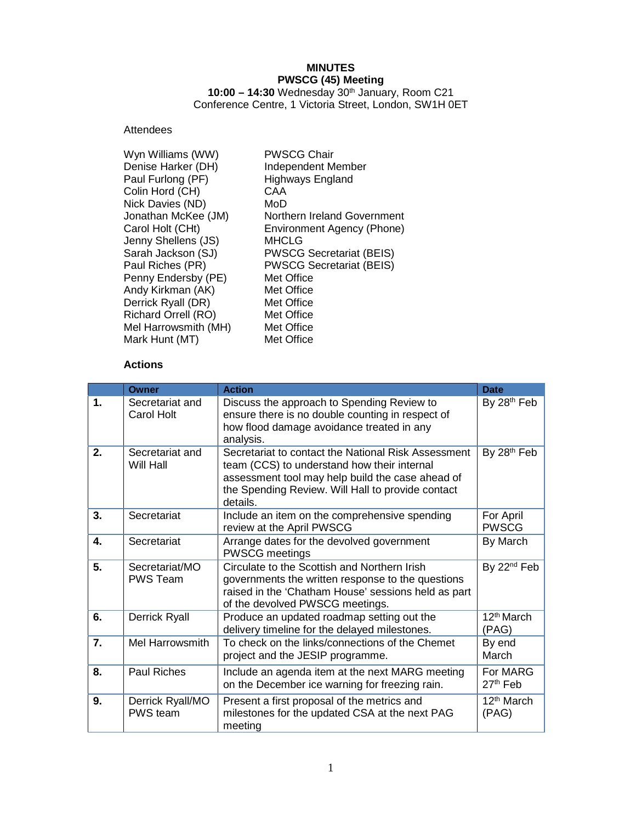# **MINUTES PWSCG (45) Meeting**

**10:00 – 14:30** Wednesday 30th January, Room C21 Conference Centre, 1 Victoria Street, London, SW1H 0ET

## Attendees

## **Actions**

|                  | <b>Owner</b>                        | <b>Action</b>                                                                                                                                                                                                           | <b>Date</b>                      |
|------------------|-------------------------------------|-------------------------------------------------------------------------------------------------------------------------------------------------------------------------------------------------------------------------|----------------------------------|
| $\mathbf 1$      | Secretariat and<br>Carol Holt       | Discuss the approach to Spending Review to<br>ensure there is no double counting in respect of<br>how flood damage avoidance treated in any<br>analysis.                                                                | By 28 <sup>th</sup> Feb          |
| 2.               | Secretariat and<br>Will Hall        | Secretariat to contact the National Risk Assessment<br>team (CCS) to understand how their internal<br>assessment tool may help build the case ahead of<br>the Spending Review. Will Hall to provide contact<br>details. | By 28th Feb                      |
| 3 <sub>1</sub>   | Secretariat                         | Include an item on the comprehensive spending<br>review at the April PWSCG                                                                                                                                              | For April<br><b>PWSCG</b>        |
| $\mathbf{4}$     | Secretariat                         | Arrange dates for the devolved government<br><b>PWSCG meetings</b>                                                                                                                                                      | By March                         |
| 5.               | Secretariat/MO<br><b>PWS Team</b>   | Circulate to the Scottish and Northern Irish<br>governments the written response to the questions<br>raised in the 'Chatham House' sessions held as part<br>of the devolved PWSCG meetings.                             | By 22 <sup>nd</sup> Feb          |
| 6.               | Derrick Ryall                       | Produce an updated roadmap setting out the<br>delivery timeline for the delayed milestones.                                                                                                                             | 12 <sup>th</sup> March<br>(PAG)  |
| $\overline{7}$ . | Mel Harrowsmith                     | To check on the links/connections of the Chemet<br>project and the JESIP programme.                                                                                                                                     | By end<br>March                  |
| 8.               | <b>Paul Riches</b>                  | Include an agenda item at the next MARG meeting<br>on the December ice warning for freezing rain.                                                                                                                       | For MARG<br>27 <sup>th</sup> Feb |
| 9.               | Derrick Ryall/MO<br><b>PWS</b> team | Present a first proposal of the metrics and<br>milestones for the updated CSA at the next PAG<br>meeting                                                                                                                | 12 <sup>th</sup> March<br>(PAG)  |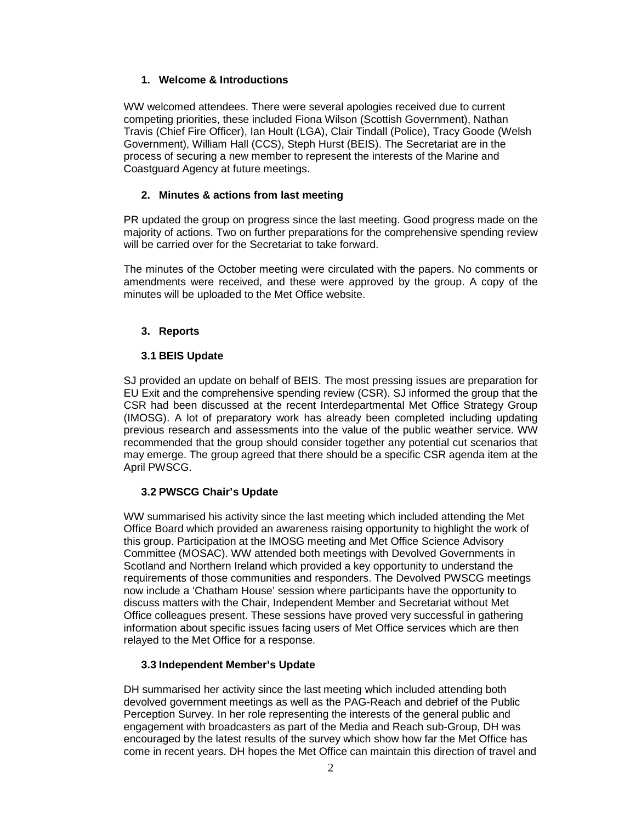## **1. Welcome & Introductions**

WW welcomed attendees. There were several apologies received due to current competing priorities, these included Fiona Wilson (Scottish Government), Nathan Travis (Chief Fire Officer), Ian Hoult (LGA), Clair Tindall (Police), Tracy Goode (Welsh Government), William Hall (CCS), Steph Hurst (BEIS). The Secretariat are in the process of securing a new member to represent the interests of the Marine and Coastguard Agency at future meetings.

## **2. Minutes & actions from last meeting**

PR updated the group on progress since the last meeting. Good progress made on the majority of actions. Two on further preparations for the comprehensive spending review will be carried over for the Secretariat to take forward.

The minutes of the October meeting were circulated with the papers. No comments or amendments were received, and these were approved by the group. A copy of the minutes will be uploaded to the Met Office website.

## **3. Reports**

## **3.1 BEIS Update**

SJ provided an update on behalf of BEIS. The most pressing issues are preparation for EU Exit and the comprehensive spending review (CSR). SJ informed the group that the CSR had been discussed at the recent Interdepartmental Met Office Strategy Group (IMOSG). A lot of preparatory work has already been completed including updating previous research and assessments into the value of the public weather service. WW recommended that the group should consider together any potential cut scenarios that may emerge. The group agreed that there should be a specific CSR agenda item at the April PWSCG.

# **3.2 PWSCG Chair's Update**

WW summarised his activity since the last meeting which included attending the Met Office Board which provided an awareness raising opportunity to highlight the work of this group. Participation at the IMOSG meeting and Met Office Science Advisory Committee (MOSAC). WW attended both meetings with Devolved Governments in Scotland and Northern Ireland which provided a key opportunity to understand the requirements of those communities and responders. The Devolved PWSCG meetings now include a 'Chatham House' session where participants have the opportunity to discuss matters with the Chair, Independent Member and Secretariat without Met Office colleagues present. These sessions have proved very successful in gathering information about specific issues facing users of Met Office services which are then relayed to the Met Office for a response.

## **3.3 Independent Member's Update**

DH summarised her activity since the last meeting which included attending both devolved government meetings as well as the PAG-Reach and debrief of the Public Perception Survey. In her role representing the interests of the general public and engagement with broadcasters as part of the Media and Reach sub-Group, DH was encouraged by the latest results of the survey which show how far the Met Office has come in recent years. DH hopes the Met Office can maintain this direction of travel and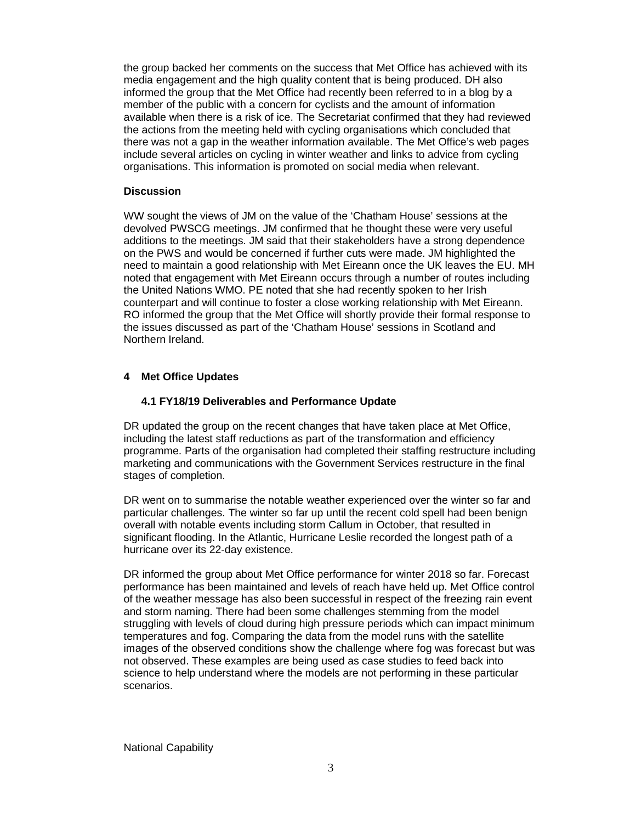the group backed her comments on the success that Met Office has achieved with its media engagement and the high quality content that is being produced. DH also informed the group that the Met Office had recently been referred to in a blog by a member of the public with a concern for cyclists and the amount of information available when there is a risk of ice. The Secretariat confirmed that they had reviewed the actions from the meeting held with cycling organisations which concluded that there was not a gap in the weather information available. The Met Office's web pages include several articles on cycling in winter weather and links to advice from cycling organisations. This information is promoted on social media when relevant.

## **Discussion**

WW sought the views of JM on the value of the 'Chatham House' sessions at the devolved PWSCG meetings. JM confirmed that he thought these were very useful additions to the meetings. JM said that their stakeholders have a strong dependence on the PWS and would be concerned if further cuts were made. JM highlighted the need to maintain a good relationship with Met Eireann once the UK leaves the EU. MH noted that engagement with Met Eireann occurs through a number of routes including the United Nations WMO. PE noted that she had recently spoken to her Irish counterpart and will continue to foster a close working relationship with Met Eireann. RO informed the group that the Met Office will shortly provide their formal response to the issues discussed as part of the 'Chatham House' sessions in Scotland and Northern Ireland.

# **4 Met Office Updates**

### **4.1 FY18/19 Deliverables and Performance Update**

DR updated the group on the recent changes that have taken place at Met Office, including the latest staff reductions as part of the transformation and efficiency programme. Parts of the organisation had completed their staffing restructure including marketing and communications with the Government Services restructure in the final stages of completion.

DR went on to summarise the notable weather experienced over the winter so far and particular challenges. The winter so far up until the recent cold spell had been benign overall with notable events including storm Callum in October, that resulted in significant flooding. In the Atlantic, Hurricane Leslie recorded the longest path of a hurricane over its 22-day existence.

DR informed the group about Met Office performance for winter 2018 so far. Forecast performance has been maintained and levels of reach have held up. Met Office control of the weather message has also been successful in respect of the freezing rain event and storm naming. There had been some challenges stemming from the model struggling with levels of cloud during high pressure periods which can impact minimum temperatures and fog. Comparing the data from the model runs with the satellite images of the observed conditions show the challenge where fog was forecast but was not observed. These examples are being used as case studies to feed back into science to help understand where the models are not performing in these particular scenarios.

National Capability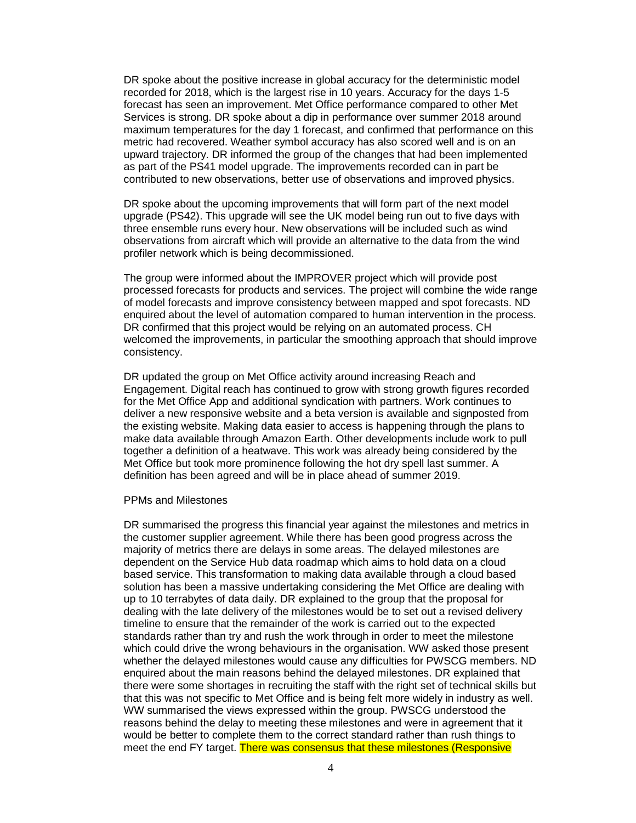DR spoke about the positive increase in global accuracy for the deterministic model recorded for 2018, which is the largest rise in 10 years. Accuracy for the days 1-5 forecast has seen an improvement. Met Office performance compared to other Met Services is strong. DR spoke about a dip in performance over summer 2018 around maximum temperatures for the day 1 forecast, and confirmed that performance on this metric had recovered. Weather symbol accuracy has also scored well and is on an upward trajectory. DR informed the group of the changes that had been implemented as part of the PS41 model upgrade. The improvements recorded can in part be contributed to new observations, better use of observations and improved physics.

DR spoke about the upcoming improvements that will form part of the next model upgrade (PS42). This upgrade will see the UK model being run out to five days with three ensemble runs every hour. New observations will be included such as wind observations from aircraft which will provide an alternative to the data from the wind profiler network which is being decommissioned.

The group were informed about the IMPROVER project which will provide post processed forecasts for products and services. The project will combine the wide range of model forecasts and improve consistency between mapped and spot forecasts. ND enquired about the level of automation compared to human intervention in the process. DR confirmed that this project would be relying on an automated process. CH welcomed the improvements, in particular the smoothing approach that should improve consistency.

DR updated the group on Met Office activity around increasing Reach and Engagement. Digital reach has continued to grow with strong growth figures recorded for the Met Office App and additional syndication with partners. Work continues to deliver a new responsive website and a beta version is available and signposted from the existing website. Making data easier to access is happening through the plans to make data available through Amazon Earth. Other developments include work to pull together a definition of a heatwave. This work was already being considered by the Met Office but took more prominence following the hot dry spell last summer. A definition has been agreed and will be in place ahead of summer 2019.

#### PPMs and Milestones

DR summarised the progress this financial year against the milestones and metrics in the customer supplier agreement. While there has been good progress across the majority of metrics there are delays in some areas. The delayed milestones are dependent on the Service Hub data roadmap which aims to hold data on a cloud based service. This transformation to making data available through a cloud based solution has been a massive undertaking considering the Met Office are dealing with up to 10 terrabytes of data daily. DR explained to the group that the proposal for dealing with the late delivery of the milestones would be to set out a revised delivery timeline to ensure that the remainder of the work is carried out to the expected standards rather than try and rush the work through in order to meet the milestone which could drive the wrong behaviours in the organisation. WW asked those present whether the delayed milestones would cause any difficulties for PWSCG members. ND enquired about the main reasons behind the delayed milestones. DR explained that there were some shortages in recruiting the staff with the right set of technical skills but that this was not specific to Met Office and is being felt more widely in industry as well. WW summarised the views expressed within the group. PWSCG understood the reasons behind the delay to meeting these milestones and were in agreement that it would be better to complete them to the correct standard rather than rush things to meet the end FY target. There was consensus that these milestones (Responsive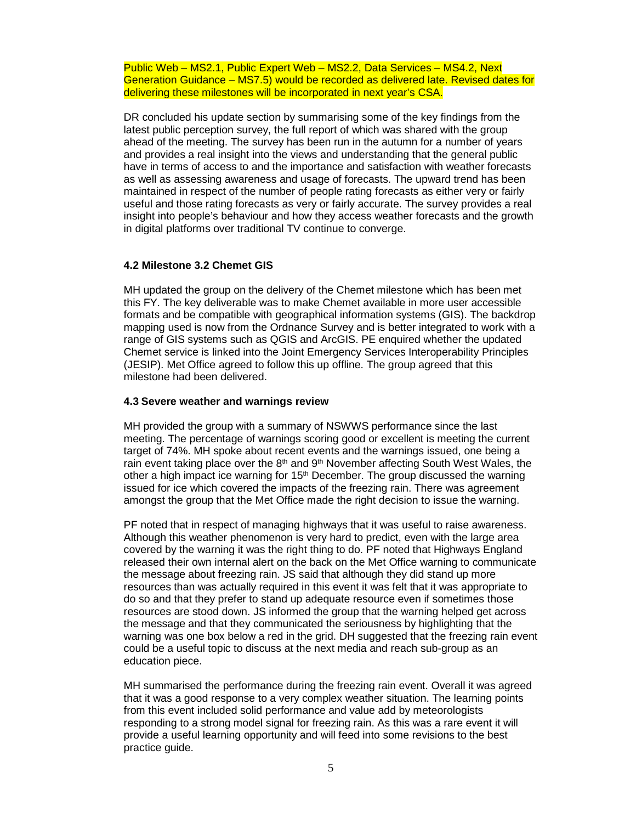Public Web – MS2.1, Public Expert Web – MS2.2, Data Services – MS4.2, Next Generation Guidance – MS7.5) would be recorded as delivered late. Revised dates for delivering these milestones will be incorporated in next year's CSA.

DR concluded his update section by summarising some of the key findings from the latest public perception survey, the full report of which was shared with the group ahead of the meeting. The survey has been run in the autumn for a number of years and provides a real insight into the views and understanding that the general public have in terms of access to and the importance and satisfaction with weather forecasts as well as assessing awareness and usage of forecasts. The upward trend has been maintained in respect of the number of people rating forecasts as either very or fairly useful and those rating forecasts as very or fairly accurate. The survey provides a real insight into people's behaviour and how they access weather forecasts and the growth in digital platforms over traditional TV continue to converge.

### **4.2 Milestone 3.2 Chemet GIS**

MH updated the group on the delivery of the Chemet milestone which has been met this FY. The key deliverable was to make Chemet available in more user accessible formats and be compatible with geographical information systems (GIS). The backdrop mapping used is now from the Ordnance Survey and is better integrated to work with a range of GIS systems such as QGIS and ArcGIS. PE enquired whether the updated Chemet service is linked into the Joint Emergency Services Interoperability Principles (JESIP). Met Office agreed to follow this up offline. The group agreed that this milestone had been delivered.

### **4.3 Severe weather and warnings review**

MH provided the group with a summary of NSWWS performance since the last meeting. The percentage of warnings scoring good or excellent is meeting the current target of 74%. MH spoke about recent events and the warnings issued, one being a rain event taking place over the  $8<sup>th</sup>$  and  $9<sup>th</sup>$  November affecting South West Wales, the other a high impact ice warning for  $15<sup>th</sup>$  December. The group discussed the warning issued for ice which covered the impacts of the freezing rain. There was agreement amongst the group that the Met Office made the right decision to issue the warning.

PF noted that in respect of managing highways that it was useful to raise awareness. Although this weather phenomenon is very hard to predict, even with the large area covered by the warning it was the right thing to do. PF noted that Highways England released their own internal alert on the back on the Met Office warning to communicate the message about freezing rain. JS said that although they did stand up more resources than was actually required in this event it was felt that it was appropriate to do so and that they prefer to stand up adequate resource even if sometimes those resources are stood down. JS informed the group that the warning helped get across the message and that they communicated the seriousness by highlighting that the warning was one box below a red in the grid. DH suggested that the freezing rain event could be a useful topic to discuss at the next media and reach sub-group as an education piece.

MH summarised the performance during the freezing rain event. Overall it was agreed that it was a good response to a very complex weather situation. The learning points from this event included solid performance and value add by meteorologists responding to a strong model signal for freezing rain. As this was a rare event it will provide a useful learning opportunity and will feed into some revisions to the best practice guide.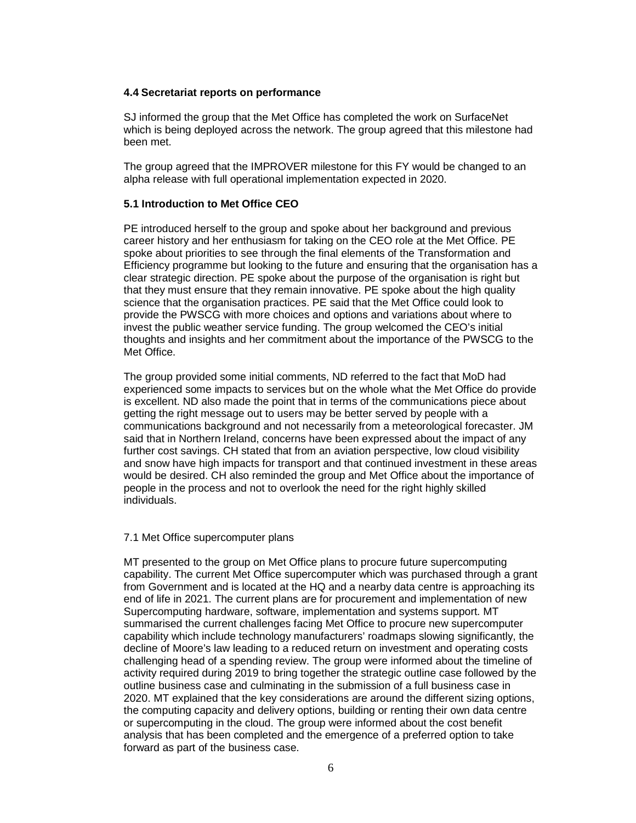### **4.4 Secretariat reports on performance**

SJ informed the group that the Met Office has completed the work on SurfaceNet which is being deployed across the network. The group agreed that this milestone had been met.

The group agreed that the IMPROVER milestone for this FY would be changed to an alpha release with full operational implementation expected in 2020.

## **5.1 Introduction to Met Office CEO**

PE introduced herself to the group and spoke about her background and previous career history and her enthusiasm for taking on the CEO role at the Met Office. PE spoke about priorities to see through the final elements of the Transformation and Efficiency programme but looking to the future and ensuring that the organisation has a clear strategic direction. PE spoke about the purpose of the organisation is right but that they must ensure that they remain innovative. PE spoke about the high quality science that the organisation practices. PE said that the Met Office could look to provide the PWSCG with more choices and options and variations about where to invest the public weather service funding. The group welcomed the CEO's initial thoughts and insights and her commitment about the importance of the PWSCG to the Met Office.

The group provided some initial comments, ND referred to the fact that MoD had experienced some impacts to services but on the whole what the Met Office do provide is excellent. ND also made the point that in terms of the communications piece about getting the right message out to users may be better served by people with a communications background and not necessarily from a meteorological forecaster. JM said that in Northern Ireland, concerns have been expressed about the impact of any further cost savings. CH stated that from an aviation perspective, low cloud visibility and snow have high impacts for transport and that continued investment in these areas would be desired. CH also reminded the group and Met Office about the importance of people in the process and not to overlook the need for the right highly skilled individuals.

### 7.1 Met Office supercomputer plans

MT presented to the group on Met Office plans to procure future supercomputing capability. The current Met Office supercomputer which was purchased through a grant from Government and is located at the HQ and a nearby data centre is approaching its end of life in 2021. The current plans are for procurement and implementation of new Supercomputing hardware, software, implementation and systems support. MT summarised the current challenges facing Met Office to procure new supercomputer capability which include technology manufacturers' roadmaps slowing significantly, the decline of Moore's law leading to a reduced return on investment and operating costs challenging head of a spending review. The group were informed about the timeline of activity required during 2019 to bring together the strategic outline case followed by the outline business case and culminating in the submission of a full business case in 2020. MT explained that the key considerations are around the different sizing options, the computing capacity and delivery options, building or renting their own data centre or supercomputing in the cloud. The group were informed about the cost benefit analysis that has been completed and the emergence of a preferred option to take forward as part of the business case.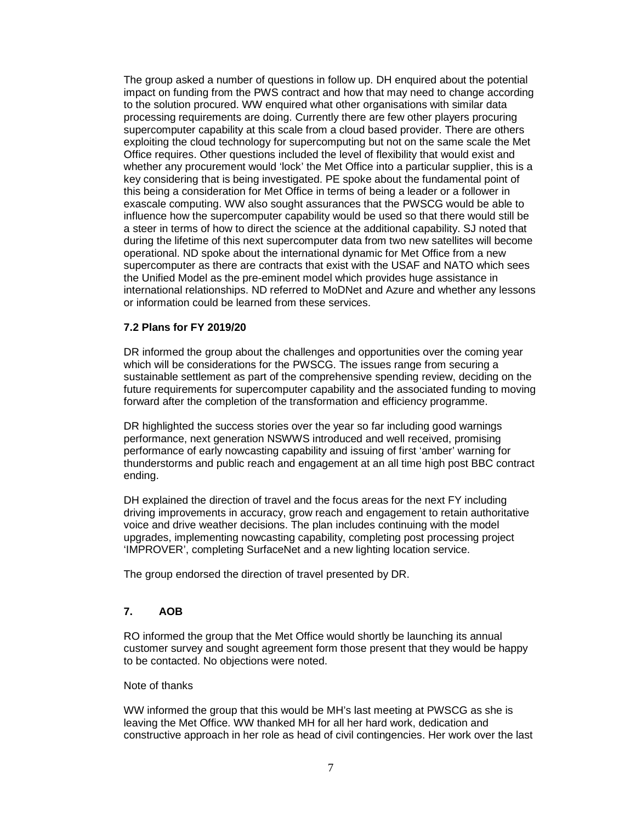The group asked a number of questions in follow up. DH enquired about the potential impact on funding from the PWS contract and how that may need to change according to the solution procured. WW enquired what other organisations with similar data processing requirements are doing. Currently there are few other players procuring supercomputer capability at this scale from a cloud based provider. There are others exploiting the cloud technology for supercomputing but not on the same scale the Met Office requires. Other questions included the level of flexibility that would exist and whether any procurement would 'lock' the Met Office into a particular supplier, this is a key considering that is being investigated. PE spoke about the fundamental point of this being a consideration for Met Office in terms of being a leader or a follower in exascale computing. WW also sought assurances that the PWSCG would be able to influence how the supercomputer capability would be used so that there would still be a steer in terms of how to direct the science at the additional capability. SJ noted that during the lifetime of this next supercomputer data from two new satellites will become operational. ND spoke about the international dynamic for Met Office from a new supercomputer as there are contracts that exist with the USAF and NATO which sees the Unified Model as the pre-eminent model which provides huge assistance in international relationships. ND referred to MoDNet and Azure and whether any lessons or information could be learned from these services.

### **7.2 Plans for FY 2019/20**

DR informed the group about the challenges and opportunities over the coming year which will be considerations for the PWSCG. The issues range from securing a sustainable settlement as part of the comprehensive spending review, deciding on the future requirements for supercomputer capability and the associated funding to moving forward after the completion of the transformation and efficiency programme.

DR highlighted the success stories over the year so far including good warnings performance, next generation NSWWS introduced and well received, promising performance of early nowcasting capability and issuing of first 'amber' warning for thunderstorms and public reach and engagement at an all time high post BBC contract ending.

DH explained the direction of travel and the focus areas for the next FY including driving improvements in accuracy, grow reach and engagement to retain authoritative voice and drive weather decisions. The plan includes continuing with the model upgrades, implementing nowcasting capability, completing post processing project 'IMPROVER', completing SurfaceNet and a new lighting location service.

The group endorsed the direction of travel presented by DR.

## **7. AOB**

RO informed the group that the Met Office would shortly be launching its annual customer survey and sought agreement form those present that they would be happy to be contacted. No objections were noted.

### Note of thanks

WW informed the group that this would be MH's last meeting at PWSCG as she is leaving the Met Office. WW thanked MH for all her hard work, dedication and constructive approach in her role as head of civil contingencies. Her work over the last